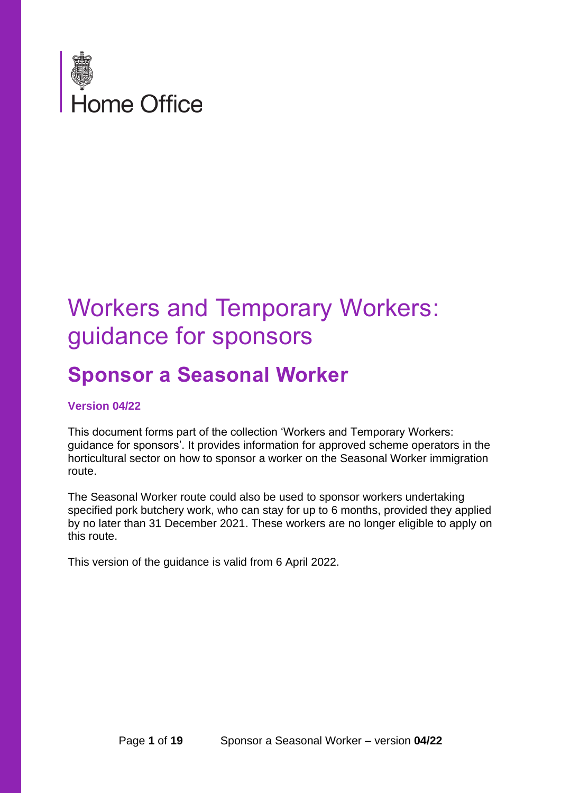

## Workers and Temporary Workers: guidance for sponsors

## **Sponsor a Seasonal Worker**

#### **Version 04/22**

This document forms part of the collection 'Workers and Temporary Workers: guidance for sponsors'. It provides information for approved scheme operators in the horticultural sector on how to sponsor a worker on the Seasonal Worker immigration route.

The Seasonal Worker route could also be used to sponsor workers undertaking specified pork butchery work, who can stay for up to 6 months, provided they applied by no later than 31 December 2021. These workers are no longer eligible to apply on this route.

<span id="page-0-0"></span>This version of the guidance is valid from 6 April 2022.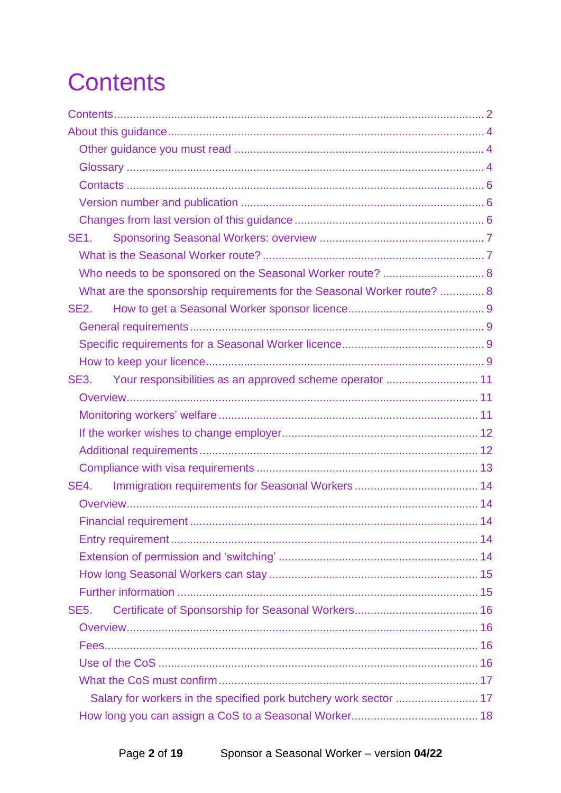<span id="page-1-0"></span>

| SE <sub>1</sub>                                                         |  |
|-------------------------------------------------------------------------|--|
|                                                                         |  |
| Who needs to be sponsored on the Seasonal Worker route?  8              |  |
| What are the sponsorship requirements for the Seasonal Worker route?  8 |  |
| <b>SE2.</b>                                                             |  |
|                                                                         |  |
|                                                                         |  |
|                                                                         |  |
| SE3.                                                                    |  |
|                                                                         |  |
|                                                                         |  |
|                                                                         |  |
|                                                                         |  |
|                                                                         |  |
| SE4.                                                                    |  |
|                                                                         |  |
|                                                                         |  |
|                                                                         |  |
|                                                                         |  |
|                                                                         |  |
|                                                                         |  |
| <b>SE5.</b>                                                             |  |
|                                                                         |  |
|                                                                         |  |
|                                                                         |  |
|                                                                         |  |
| Salary for workers in the specified pork butchery work sector  17       |  |
|                                                                         |  |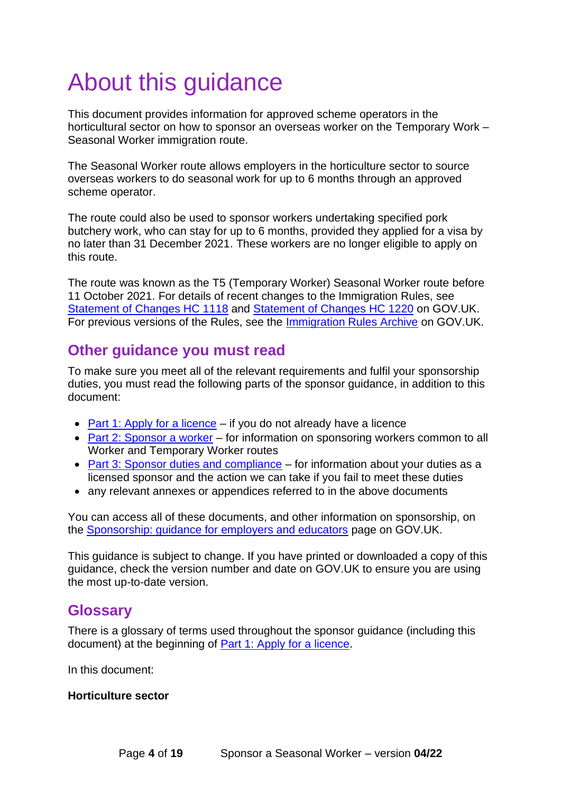# <span id="page-3-0"></span>About this guidance

This document provides information for approved scheme operators in the horticultural sector on how to sponsor an overseas worker on the Temporary Work – Seasonal Worker immigration route.

The Seasonal Worker route allows employers in the horticulture sector to source overseas workers to do seasonal work for up to 6 months through an approved scheme operator.

The route could also be used to sponsor workers undertaking specified pork butchery work, who can stay for up to 6 months, provided they applied for a visa by no later than 31 December 2021. These workers are no longer eligible to apply on this route.

The route was known as the T5 (Temporary Worker) Seasonal Worker route before 11 October 2021. For details of recent changes to the Immigration Rules, see [Statement of Changes HC 1118](https://www.gov.uk/government/publications/statement-of-changes-to-the-immigration-rules-hc-1118-15-march-2022) and Statement [of Changes](https://www.gov.uk/government/publications/statement-of-changes-to-the-immigration-rules-hc-1220-29-march-2022) HC 1220 on GOV.UK. For previous versions of the Rules, see the [Immigration Rules Archive](https://www.gov.uk/government/collections/archive-immigration-rules) on GOV.UK.

### <span id="page-3-1"></span>**Other guidance you must read**

To make sure you meet all of the relevant requirements and fulfil your sponsorship duties, you must read the following parts of the sponsor guidance, in addition to this document:

- [Part 1: Apply for a licence](https://www.gov.uk/government/publications/workers-and-temporary-workers-guidance-for-sponsors-part-1-apply-for-a-licence)  $-$  if you do not already have a licence
- Part 2: Sponsor a worker for information on sponsoring workers common to all [Worker and Temporary Worker routes](https://www.gov.uk/government/publications/workers-and-temporary-workers-guidance-for-sponsors-part-2-sponsor-a-worker)
- [Part 3: Sponsor duties and compliance](https://www.gov.uk/government/publications/workers-and-temporary-workers-guidance-for-sponsors-part-3-sponsor-duties-and-compliance) for information about your duties as a licensed sponsor and the action we can take if you fail to meet these duties
- any relevant annexes or appendices referred to in the above documents

You can access all of these documents, and other information on sponsorship, on the [Sponsorship: guidance for employers and educators](https://www.gov.uk/government/collections/sponsorship-information-for-employers-and-educators) page on GOV.UK.

This guidance is subject to change. If you have printed or downloaded a copy of this guidance, check the version number and date on GOV.UK to ensure you are using the most up-to-date version.

#### <span id="page-3-2"></span>**Glossary**

There is a glossary of terms used throughout the sponsor guidance (including this document) at the beginning of [Part 1: Apply for a licence.](https://www.gov.uk/government/publications/workers-and-temporary-workers-guidance-for-sponsors-part-1-apply-for-a-licence)

In this document:

#### <span id="page-3-3"></span>**Horticulture sector**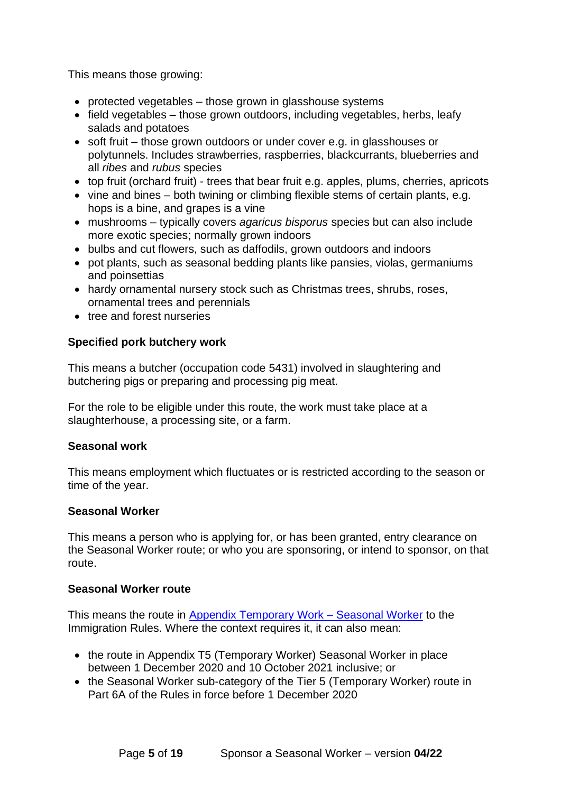This means those growing:

- protected vegetables those grown in glasshouse systems
- field vegetables those grown outdoors, including vegetables, herbs, leafy salads and potatoes
- soft fruit those grown outdoors or under cover e.g. in glasshouses or polytunnels. Includes strawberries, raspberries, blackcurrants, blueberries and all *ribes* and *rubus* species
- top fruit (orchard fruit) trees that bear fruit e.g. apples, plums, cherries, apricots
- vine and bines both twining or climbing flexible stems of certain plants, e.g. hops is a bine, and grapes is a vine
- mushrooms typically covers *agaricus bisporus* species but can also include more exotic species; normally grown indoors
- bulbs and cut flowers, such as daffodils, grown outdoors and indoors
- pot plants, such as seasonal bedding plants like pansies, violas, germaniums and poinsettias
- hardy ornamental nursery stock such as Christmas trees, shrubs, roses, ornamental trees and perennials
- tree and forest nurseries

#### <span id="page-4-1"></span>**Specified pork butchery work**

This means a butcher (occupation code 5431) involved in slaughtering and butchering pigs or preparing and processing pig meat.

For the role to be eligible under this route, the work must take place at a slaughterhouse, a processing site, or a farm.

#### <span id="page-4-0"></span>**Seasonal work**

This means employment which fluctuates or is restricted according to the season or time of the year.

#### **Seasonal Worker**

This means a person who is applying for, or has been granted, entry clearance on the Seasonal Worker route; or who you are sponsoring, or intend to sponsor, on that route.

#### **Seasonal Worker route**

This means the route in [Appendix Temporary Work –](https://www.gov.uk/guidance/immigration-rules/immigration-rules-appendix-t5-temporary-worker-seasonal-worker) Seasonal Worker to the Immigration Rules. Where the context requires it, it can also mean:

- the route in Appendix T5 (Temporary Worker) Seasonal Worker in place between 1 December 2020 and 10 October 2021 inclusive; or
- the Seasonal Worker sub-category of the Tier 5 (Temporary Worker) route in Part 6A of the Rules in force before 1 December 2020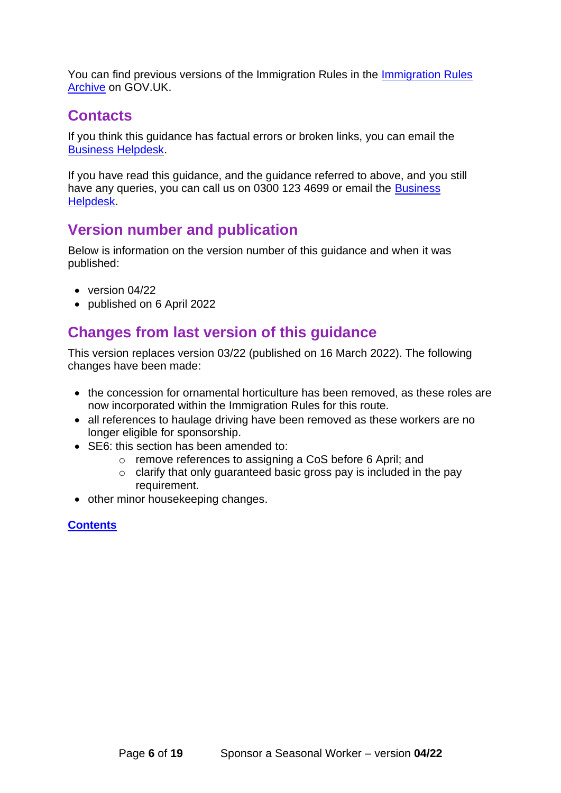You can find previous versions of the Immigration Rules in the [Immigration Rules](https://www.gov.uk/government/collections/archive-immigration-rules)  [Archive](https://www.gov.uk/government/collections/archive-immigration-rules) on GOV.UK.

## <span id="page-5-0"></span>**Contacts**

If you think this guidance has factual errors or broken links, you can email the [Business Helpdesk.](mailto:BusinessHelpdesk@homeoffice.gov.uk)

If you have read this guidance, and the guidance referred to above, and you still have any queries, you can call us on 0300 123 4699 or email the Business [Helpdesk.](mailto:BusinessHelpdesk@homeoffice.gov.uk)

## <span id="page-5-1"></span>**Version number and publication**

Below is information on the version number of this guidance and when it was published:

- version 04/22
- published on 6 April 2022

## <span id="page-5-2"></span>**Changes from last version of this guidance**

This version replaces version 03/22 (published on 16 March 2022). The following changes have been made:

- the concession for ornamental horticulture has been removed, as these roles are now incorporated within the Immigration Rules for this route.
- all references to haulage driving have been removed as these workers are no longer eligible for sponsorship.
- SE6: this section has been amended to:
	- o remove references to assigning a CoS before 6 April; and
	- $\circ$  clarify that only guaranteed basic gross pay is included in the pay requirement.
- other minor housekeeping changes.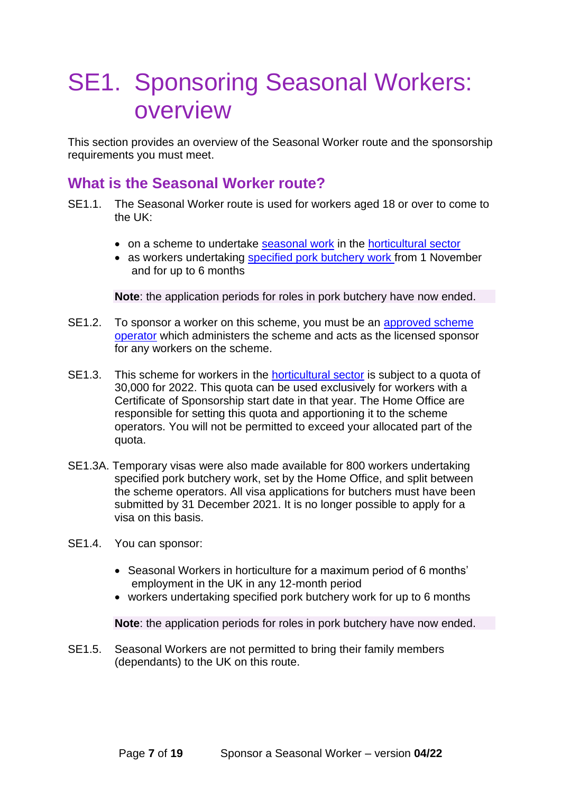## <span id="page-6-0"></span>SE1. Sponsoring Seasonal Workers: overview

This section provides an overview of the Seasonal Worker route and the sponsorship requirements you must meet.

#### <span id="page-6-1"></span>**What is the Seasonal Worker route?**

- SE1.1. The Seasonal Worker route is used for workers aged 18 or over to come to the UK:
	- on a scheme to undertake [seasonal work](#page-4-0) in the [horticultural sector](#page-3-3)
	- as workers undertaking [specified pork butchery work](#page-4-1) from 1 November and for up to 6 months

**Note**: the application periods for roles in pork butchery have now ended.

- SE1.2. To sponsor a worker on this scheme, you must be an [approved scheme](#page-7-2)  [operator](#page-7-2) which administers the scheme and acts as the licensed sponsor for any workers on the scheme.
- SE1.3. This scheme for workers in the [horticultural sector](#page-3-3) is subject to a quota of 30,000 for 2022. This quota can be used exclusively for workers with a Certificate of Sponsorship start date in that year. The Home Office are responsible for setting this quota and apportioning it to the scheme operators. You will not be permitted to exceed your allocated part of the quota.
- SE1.3A. Temporary visas were also made available for 800 workers undertaking specified pork butchery work, set by the Home Office, and split between the scheme operators. All visa applications for butchers must have been submitted by 31 December 2021. It is no longer possible to apply for a visa on this basis.
- SE1.4. You can sponsor:
	- Seasonal Workers in horticulture for a maximum period of 6 months' employment in the UK in any 12-month period
	- workers undertaking specified pork butchery work for up to 6 months

**Note**: the application periods for roles in pork butchery have now ended.

SE1.5. Seasonal Workers are not permitted to bring their family members (dependants) to the UK on this route.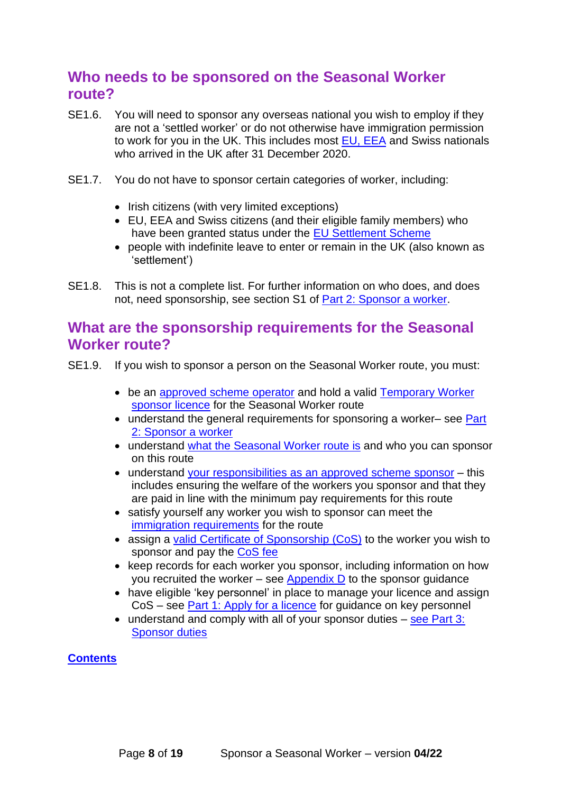## <span id="page-7-0"></span>**Who needs to be sponsored on the Seasonal Worker route?**

- SE1.6. You will need to sponsor any overseas national you wish to employ if they are not a 'settled worker' or do not otherwise have immigration permission to work for you in the UK. This includes most [EU, EEA](https://www.gov.uk/eu-eea) and Swiss nationals who arrived in the UK after 31 December 2020.
- SE1.7. You do not have to sponsor certain categories of worker, including:
	- Irish citizens (with very limited exceptions)
	- EU, EEA and Swiss citizens (and their eligible family members) who have been granted status under the [EU Settlement Scheme](https://www.gov.uk/settled-status-eu-citizens-families)
	- people with indefinite leave to enter or remain in the UK (also known as 'settlement')
- SE1.8. This is not a complete list. For further information on who does, and does not, need sponsorship, see section S1 of [Part 2: Sponsor a worker.](https://www.gov.uk/government/publications/workers-and-temporary-workers-guidance-for-sponsors-part-2-sponsor-a-worker/workers-and-temporary-workers-guidance-for-sponsors-part-2-sponsor-a-worker-general-information-accessible-version#who-needs)

#### <span id="page-7-1"></span>**What are the sponsorship requirements for the Seasonal Worker route?**

- <span id="page-7-2"></span>SE1.9. If you wish to sponsor a person on the Seasonal Worker route, you must:
	- be an [approved scheme operator](#page-8-2) and hold a valid [Temporary Worker](#page-7-2) [sponsor licence](#page-7-2) for the Seasonal Worker route
	- understand the general requirements for sponsoring a worker– see Part [2: Sponsor a worker](https://www.gov.uk/government/publications/workers-and-temporary-workers-guidance-for-sponsors-part-2-sponsor-a-worker)
	- understand [what the Seasonal Worker route is](#page-6-1) and who you can sponsor on this route
	- understand [your responsibilities as an approved scheme](#page-9-0) sponsor this includes ensuring the welfare of the workers you sponsor and that they are paid in line with the minimum pay requirements for this route
	- satisfy yourself any worker you wish to sponsor can meet the [immigration requirements](#page-13-0) for the route
	- assign a [valid Certificate of Sponsorship \(CoS\)](#page-14-2) to the worker you wish to sponsor and pay the [CoS fee](#page-15-2)
	- keep records for each worker you sponsor, including information on how you recruited the worker – see [Appendix D](https://www.gov.uk/government/publications/keep-records-for-sponsorship-appendix-d) to the sponsor guidance
	- have eligible 'key personnel' in place to manage your licence and assign CoS – see [Part 1: Apply for a licence](https://www.gov.uk/government/publications/workers-and-temporary-workers-guidance-for-sponsors-part-1-apply-for-a-licence/workers-and-temporary-workers-guidance-for-sponsors-part-1-apply-for-a-licence-accessible-version#L4) for guidance on key personnel
	- understand and comply with all of your sponsor duties see Part 3: [Sponsor duties](https://www.gov.uk/government/publications/workers-and-temporary-workers-guidance-for-sponsors-part-3-sponsor-duties-and-compliance)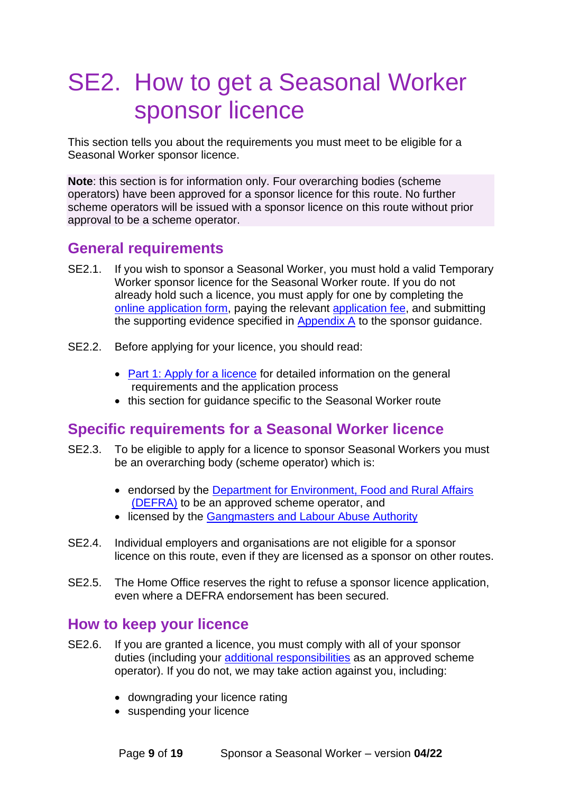## <span id="page-8-0"></span>SE2. How to get a Seasonal Worker sponsor licence

This section tells you about the requirements you must meet to be eligible for a Seasonal Worker sponsor licence.

**Note**: this section is for information only. Four overarching bodies (scheme operators) have been approved for a sponsor licence for this route. No further scheme operators will be issued with a sponsor licence on this route without prior approval to be a scheme operator.

### <span id="page-8-1"></span>**General requirements**

- SE2.1. If you wish to sponsor a Seasonal Worker, you must hold a valid Temporary Worker sponsor licence for the Seasonal Worker route. If you do not already hold such a licence, you must apply for one by completing the [online application form,](https://www.points.homeoffice.gov.uk/gui-sponsor-jsf/Register/SponsorRegister.faces) paying the relevant [application fee,](https://www.gov.uk/government/publications/visa-regulations-revised-table) and submitting the supporting evidence specified in [Appendix A](https://www.gov.uk/government/publications/supporting-documents-for-sponsor-applications-appendix-a) to the sponsor guidance.
- SE2.2. Before applying for your licence, you should read:
	- [Part 1: Apply for a licence](https://www.gov.uk/government/publications/workers-and-temporary-workers-guidance-for-sponsors-part-1-apply-for-a-licence) for detailed information on the general requirements and the application process
	- this section for guidance specific to the Seasonal Worker route

#### <span id="page-8-2"></span>**Specific requirements for a Seasonal Worker licence**

- SE2.3. To be eligible to apply for a licence to sponsor Seasonal Workers you must be an overarching body (scheme operator) which is:
	- endorsed by the Department for Environment, Food and Rural Affairs [\(DEFRA\)](https://www.gov.uk/government/organisations/department-for-environment-food-rural-affairs) to be an approved scheme operator, and
	- licensed by the [Gangmasters and Labour Abuse Authority](http://www.gla.gov.uk/)
- SE2.4. Individual employers and organisations are not eligible for a sponsor licence on this route, even if they are licensed as a sponsor on other routes.
- SE2.5. The Home Office reserves the right to refuse a sponsor licence application, even where a DEFRA endorsement has been secured.

### <span id="page-8-3"></span>**How to keep your licence**

- SE2.6. If you are granted a licence, you must comply with all of your sponsor duties (including your [additional responsibilities](#page-9-0) as an approved scheme operator). If you do not, we may take action against you, including:
	- downgrading your licence rating
	- suspending your licence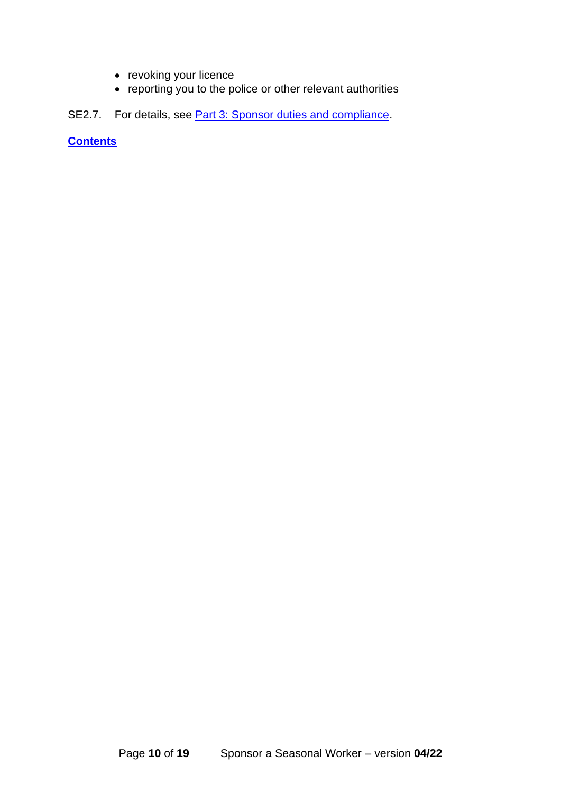- revoking your licence
- reporting you to the police or other relevant authorities
- <span id="page-9-0"></span>SE2.7. For details, see **Part 3: Sponsor duties and compliance**.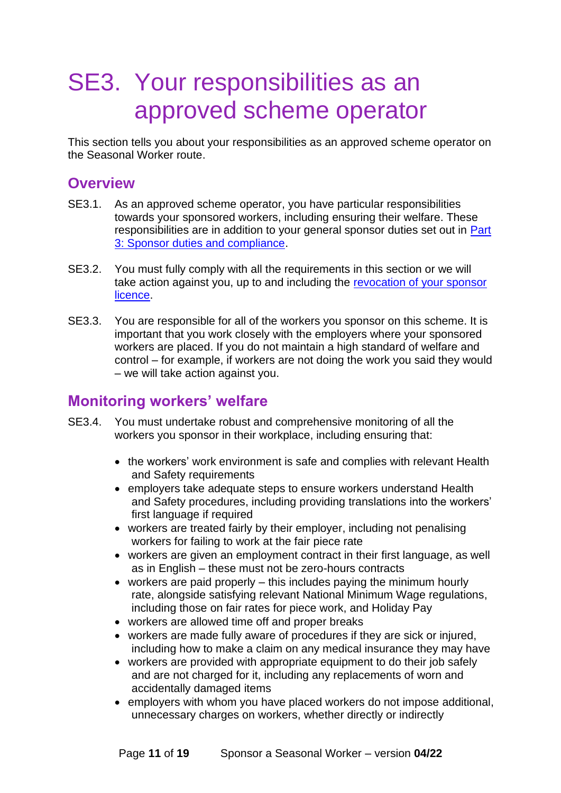## <span id="page-10-0"></span>SE3. Your responsibilities as an approved scheme operator

This section tells you about your responsibilities as an approved scheme operator on the Seasonal Worker route.

#### <span id="page-10-1"></span>**Overview**

- SE3.1. As an approved scheme operator, you have particular responsibilities towards your sponsored workers, including ensuring their welfare. These responsibilities are in addition to your general sponsor duties set out in **Part** [3: Sponsor duties and compliance.](https://www.gov.uk/government/publications/workers-and-temporary-workers-guidance-for-sponsors-part-3-sponsor-duties-and-compliance/workers-and-temporary-workers-guidance-for-sponsors-part-3-sponsor-duties-and-compliance-accessible-version)
- SE3.2. You must fully comply with all the requirements in this section or we will take action against you, up to and including the [revocation of your sponsor](https://www.gov.uk/government/publications/workers-and-temporary-workers-guidance-for-sponsors-part-3-sponsor-duties-and-compliance/workers-and-temporary-workers-guidance-for-sponsors-part-3-sponsor-duties-and-compliance-accessible-version#C10)  [licence.](https://www.gov.uk/government/publications/workers-and-temporary-workers-guidance-for-sponsors-part-3-sponsor-duties-and-compliance/workers-and-temporary-workers-guidance-for-sponsors-part-3-sponsor-duties-and-compliance-accessible-version#C10)
- SE3.3. You are responsible for all of the workers you sponsor on this scheme. It is important that you work closely with the employers where your sponsored workers are placed. If you do not maintain a high standard of welfare and control – for example, if workers are not doing the work you said they would – we will take action against you.

### <span id="page-10-2"></span>**Monitoring workers' welfare**

- SE3.4. You must undertake robust and comprehensive monitoring of all the workers you sponsor in their workplace, including ensuring that:
	- the workers' work environment is safe and complies with relevant Health and Safety requirements
	- employers take adequate steps to ensure workers understand Health and Safety procedures, including providing translations into the workers' first language if required
	- workers are treated fairly by their employer, including not penalising workers for failing to work at the fair piece rate
	- workers are given an employment contract in their first language, as well as in English – these must not be zero-hours contracts
	- workers are paid properly this includes paying the minimum hourly rate, alongside satisfying relevant National Minimum Wage regulations, including those on fair rates for piece work, and Holiday Pay
	- workers are allowed time off and proper breaks
	- workers are made fully aware of procedures if they are sick or injured, including how to make a claim on any medical insurance they may have
	- workers are provided with appropriate equipment to do their job safely and are not charged for it, including any replacements of worn and accidentally damaged items
	- employers with whom you have placed workers do not impose additional, unnecessary charges on workers, whether directly or indirectly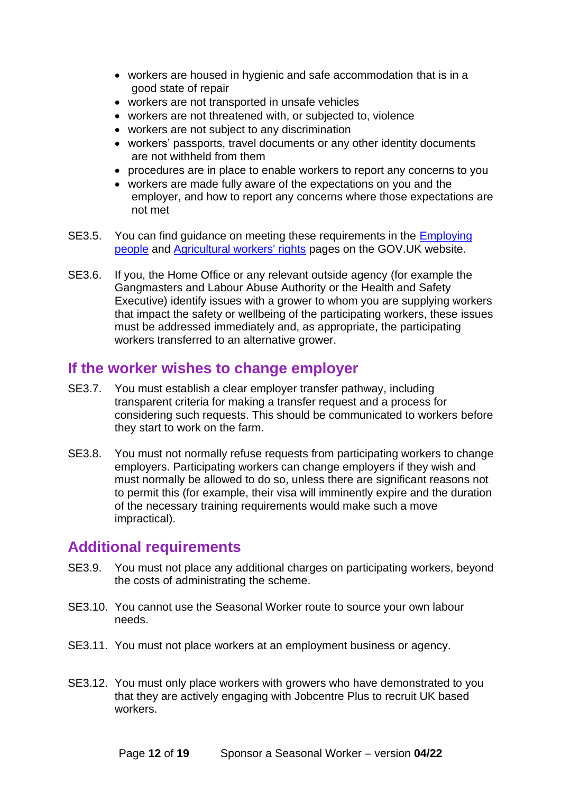- workers are housed in hygienic and safe accommodation that is in a good state of repair
- workers are not transported in unsafe vehicles
- workers are not threatened with, or subjected to, violence
- workers are not subject to any discrimination
- workers' passports, travel documents or any other identity documents are not withheld from them
- procedures are in place to enable workers to report any concerns to you
- workers are made fully aware of the expectations on you and the employer, and how to report any concerns where those expectations are not met
- SE3.5. You can find guidance on meeting these requirements in the **Employing** [people](https://www.gov.uk/browse/employing-people) and [Agricultural workers' rights](https://www.gov.uk/agricultural-workers-rights) pages on the GOV.UK website.
- SE3.6. If you, the Home Office or any relevant outside agency (for example the Gangmasters and Labour Abuse Authority or the Health and Safety Executive) identify issues with a grower to whom you are supplying workers that impact the safety or wellbeing of the participating workers, these issues must be addressed immediately and, as appropriate, the participating workers transferred to an alternative grower.

#### <span id="page-11-0"></span>**If the worker wishes to change employer**

- SE3.7. You must establish a clear employer transfer pathway, including transparent criteria for making a transfer request and a process for considering such requests. This should be communicated to workers before they start to work on the farm.
- SE3.8. You must not normally refuse requests from participating workers to change employers. Participating workers can change employers if they wish and must normally be allowed to do so, unless there are significant reasons not to permit this (for example, their visa will imminently expire and the duration of the necessary training requirements would make such a move impractical).

#### <span id="page-11-1"></span>**Additional requirements**

- SE3.9. You must not place any additional charges on participating workers, beyond the costs of administrating the scheme.
- SE3.10. You cannot use the Seasonal Worker route to source your own labour needs.
- SE3.11. You must not place workers at an employment business or agency.
- SE3.12. You must only place workers with growers who have demonstrated to you that they are actively engaging with Jobcentre Plus to recruit UK based workers.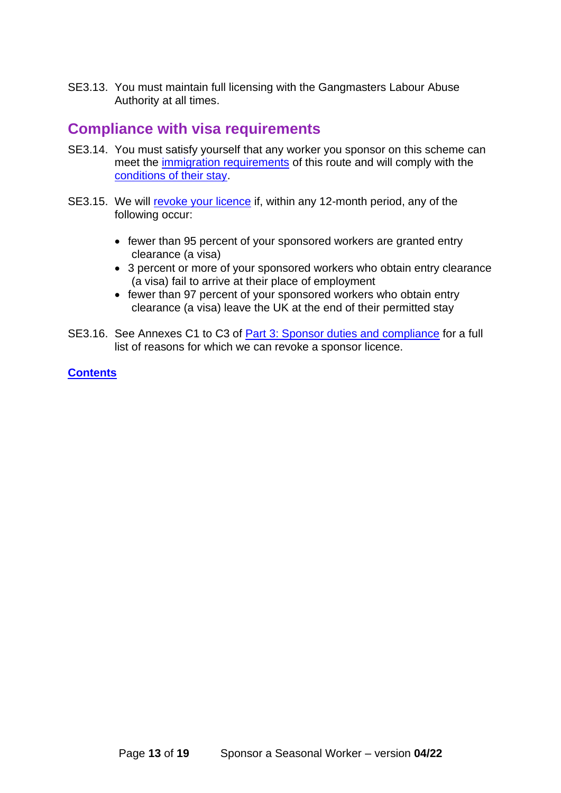SE3.13. You must maintain full licensing with the Gangmasters Labour Abuse Authority at all times.

#### <span id="page-12-0"></span>**Compliance with visa requirements**

- SE3.14. You must satisfy yourself that any worker you sponsor on this scheme can meet the [immigration requirements](#page-13-0) of this route and will comply with the [conditions of their stay.](https://www.gov.uk/government/publications/workers-and-temporary-workers-guidance-for-sponsors-part-2-sponsor-a-worker/workers-and-temporary-workers-guidance-for-sponsors-part-2-sponsor-a-worker-general-information-accessible-version#S8)
- SE3.15. We will [revoke your licence](https://www.gov.uk/government/publications/workers-and-temporary-workers-guidance-for-sponsors-part-3-sponsor-duties-and-compliance/workers-and-temporary-workers-guidance-for-sponsors-part-3-sponsor-duties-and-compliance-accessible-version#C10) if, within any 12-month period, any of the following occur:
	- fewer than 95 percent of your sponsored workers are granted entry clearance (a visa)
	- 3 percent or more of your sponsored workers who obtain entry clearance (a visa) fail to arrive at their place of employment
	- fewer than 97 percent of your sponsored workers who obtain entry clearance (a visa) leave the UK at the end of their permitted stay
- SE3.16. See Annexes C1 to C3 of **[Part 3: Sponsor duties and compliance](https://www.gov.uk/government/publications/workers-and-temporary-workers-guidance-for-sponsors-part-3-sponsor-duties-and-compliance/workers-and-temporary-workers-guidance-for-sponsors-part-3-sponsor-duties-and-compliance-accessible-version)** for a full list of reasons for which we can revoke a sponsor licence.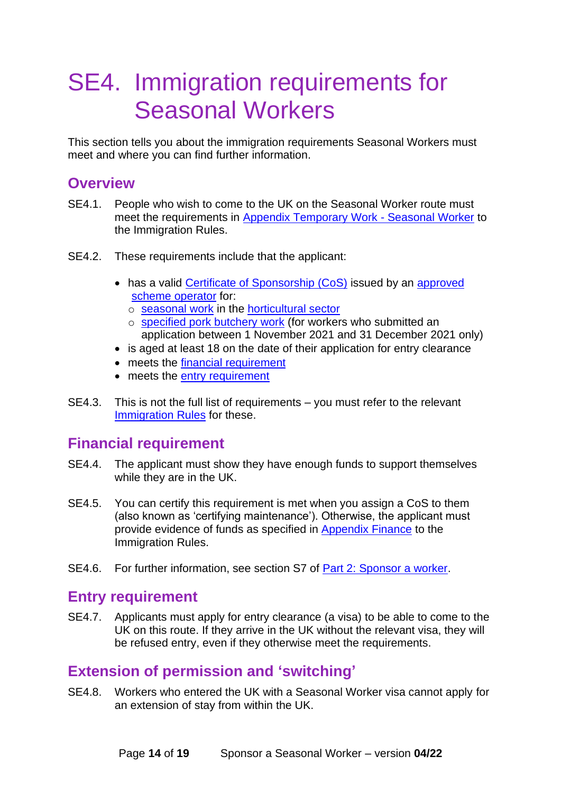## <span id="page-13-0"></span>SE4. Immigration requirements for Seasonal Workers

This section tells you about the immigration requirements Seasonal Workers must meet and where you can find further information.

### <span id="page-13-1"></span>**Overview**

- SE4.1. People who wish to come to the UK on the Seasonal Worker route must meet the requirements in [Appendix Temporary Work -](https://www.gov.uk/guidance/immigration-rules/immigration-rules-appendix-t5-temporary-worker-seasonal-worker) Seasonal Worker to the Immigration Rules.
- SE4.2. These requirements include that the applicant:
	- has a valid [Certificate of Sponsorship \(CoS\)](#page-14-2) issued by an approved [scheme operator](#page-7-2) for:
		- o [seasonal work](#page-4-0) in the [horticultural sector](#page-3-3)
		- o [specified pork butchery work](#page-4-1) (for workers who submitted an application between 1 November 2021 and 31 December 2021 only)
	- is aged at least 18 on the date of their application for entry clearance
	- meets the [financial requirement](#page-13-2)
	- meets the [entry requirement](#page-13-3)
- SE4.3. This is not the full list of requirements you must refer to the relevant [Immigration Rules](https://www.gov.uk/guidance/immigration-rules/immigration-rules-appendix-t5-temporary-worker-seasonal-worker) for these.

### <span id="page-13-2"></span>**Financial requirement**

- SE4.4. The applicant must show they have enough funds to support themselves while they are in the UK.
- SE4.5. You can certify this requirement is met when you assign a CoS to them (also known as 'certifying maintenance'). Otherwise, the applicant must provide evidence of funds as specified in [Appendix Finance](https://www.gov.uk/guidance/immigration-rules/immigration-rules-appendix-finance) to the Immigration Rules.
- SE4.6. For further information, see section S7 of [Part 2: Sponsor a worker.](https://www.gov.uk/government/publications/workers-and-temporary-workers-guidance-for-sponsors-part-2-sponsor-a-worker)

#### <span id="page-13-3"></span>**Entry requirement**

SE4.7. Applicants must apply for entry clearance (a visa) to be able to come to the UK on this route. If they arrive in the UK without the relevant visa, they will be refused entry, even if they otherwise meet the requirements.

### <span id="page-13-4"></span>**Extension of permission and 'switching'**

SE4.8. Workers who entered the UK with a Seasonal Worker visa cannot apply for an extension of stay from within the UK.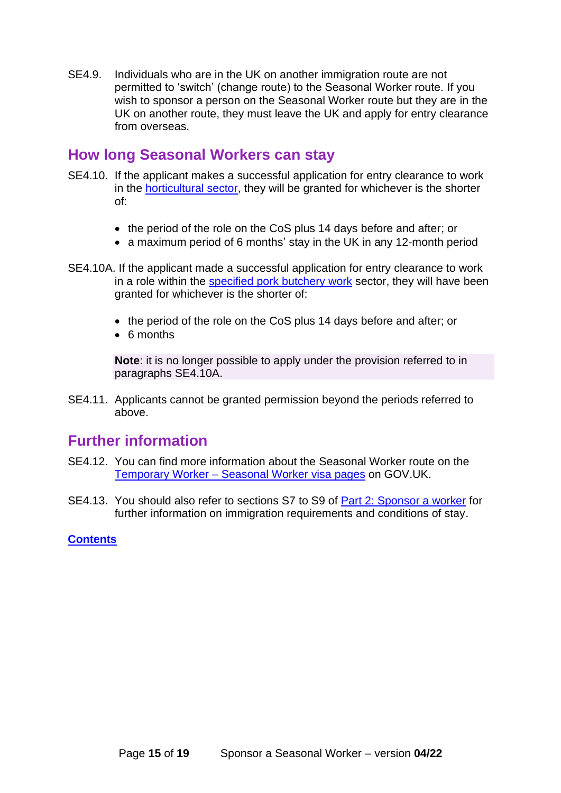SE4.9. Individuals who are in the UK on another immigration route are not permitted to 'switch' (change route) to the Seasonal Worker route. If you wish to sponsor a person on the Seasonal Worker route but they are in the UK on another route, they must leave the UK and apply for entry clearance from overseas.

#### <span id="page-14-0"></span>**How long Seasonal Workers can stay**

- SE4.10. If the applicant makes a successful application for entry clearance to work in the [horticultural sector,](#page-3-3) they will be granted for whichever is the shorter of:
	- the period of the role on the CoS plus 14 days before and after; or
	- a maximum period of 6 months' stay in the UK in any 12-month period
- SE4.10A. If the applicant made a successful application for entry clearance to work in a role within the [specified pork butchery work](#page-4-1) sector, they will have been granted for whichever is the shorter of:
	- the period of the role on the CoS plus 14 days before and after; or
	- 6 months

**Note**: it is no longer possible to apply under the provision referred to in paragraphs SE4.10A.

SE4.11. Applicants cannot be granted permission beyond the periods referred to above.

#### <span id="page-14-1"></span>**Further information**

- SE4.12. You can find more information about the Seasonal Worker route on the Temporary Worker – [Seasonal Worker visa](https://www.gov.uk/seasonal-worker-visa) pages on GOV.UK.
- <span id="page-14-2"></span>SE4.13. You should also refer to sections S7 to S9 of [Part 2: Sponsor a worker](https://www.gov.uk/government/publications/workers-and-temporary-workers-guidance-for-sponsors-part-2-sponsor-a-worker) for further information on immigration requirements and conditions of stay.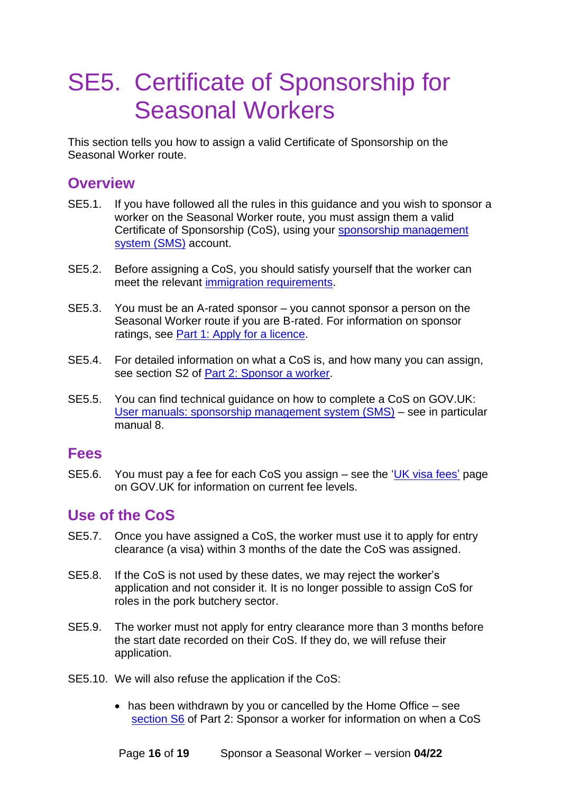## <span id="page-15-0"></span>SE5. Certificate of Sponsorship for Seasonal Workers

This section tells you how to assign a valid Certificate of Sponsorship on the Seasonal Worker route.

#### <span id="page-15-1"></span>**Overview**

- SE5.1. If you have followed all the rules in this guidance and you wish to sponsor a worker on the Seasonal Worker route, you must assign them a valid Certificate of Sponsorship (CoS), using your [sponsorship management](https://www.gov.uk/sponsor-management-system)  [system \(SMS\)](https://www.gov.uk/sponsor-management-system) account.
- SE5.2. Before assigning a CoS, you should satisfy yourself that the worker can meet the relevant [immigration requirements.](#page-13-0)
- SE5.3. You must be an A-rated sponsor you cannot sponsor a person on the Seasonal Worker route if you are B-rated. For information on sponsor ratings, see [Part 1: Apply for a licence.](https://www.gov.uk/government/publications/workers-and-temporary-workers-guidance-for-sponsors-part-1-apply-for-a-licence)
- SE5.4. For detailed information on what a CoS is, and how many you can assign, see section S2 of [Part 2: Sponsor a worker.](https://www.gov.uk/government/publications/workers-and-temporary-workers-guidance-for-sponsors-part-2-sponsor-a-worker)
- SE5.5. You can find technical guidance on how to complete a CoS on GOV.UK: [User manuals: sponsorship management system \(SMS\)](https://www.gov.uk/government/collections/sponsorship-information-for-employers-and-educators#user-manuals:-sponsorship-management-system-(sms)) – see in particular manual 8.

#### <span id="page-15-2"></span>**Fees**

SE5.6. You must pay a fee for each CoS you assign – see the ['UK visa fees'](https://www.gov.uk/government/publications/visa-regulations-revised-table) page on GOV.UK for information on current fee levels.

### <span id="page-15-3"></span>**Use of the CoS**

- SE5.7. Once you have assigned a CoS, the worker must use it to apply for entry clearance (a visa) within 3 months of the date the CoS was assigned.
- SE5.8. If the CoS is not used by these dates, we may reject the worker's application and not consider it. It is no longer possible to assign CoS for roles in the pork butchery sector.
- SE5.9. The worker must not apply for entry clearance more than 3 months before the start date recorded on their CoS. If they do, we will refuse their application.
- SE5.10. We will also refuse the application if the CoS:
	- has been withdrawn by you or cancelled by the Home Office see [section S6](https://www.gov.uk/government/publications/workers-and-temporary-workers-guidance-for-sponsors-part-2-sponsor-a-worker/workers-and-temporary-workers-guidance-for-sponsors-part-2-sponsor-a-worker-general-information-accessible-version#Cancelling-or-withdrawing-a-CoS) of Part 2: Sponsor a worker for information on when a CoS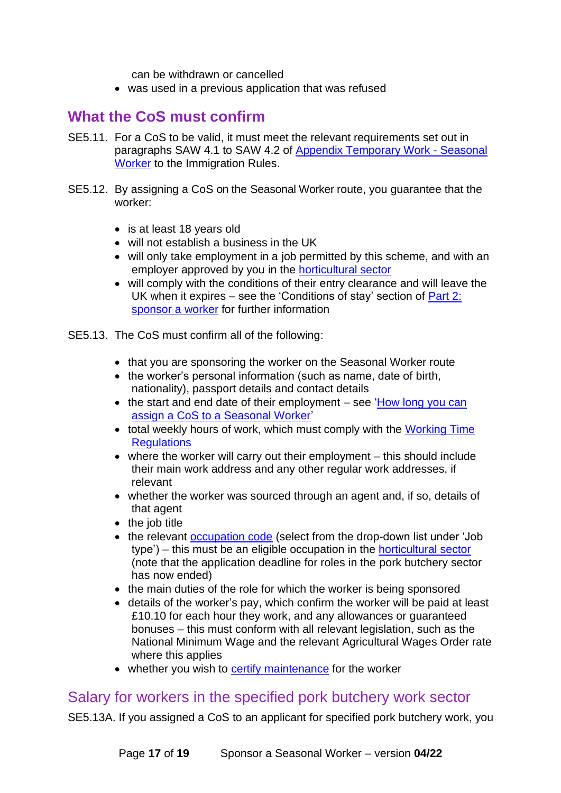can be withdrawn or cancelled

• was used in a previous application that was refused

### <span id="page-16-0"></span>**What the CoS must confirm**

- SE5.11. For a CoS to be valid, it must meet the relevant requirements set out in paragraphs SAW 4.1 to SAW 4.2 of [Appendix Temporary Work -](https://www.gov.uk/guidance/immigration-rules/immigration-rules-appendix-t5-temporary-worker-seasonal-worker) Seasonal [Worker](https://www.gov.uk/guidance/immigration-rules/immigration-rules-appendix-t5-temporary-worker-seasonal-worker) to the Immigration Rules.
- SE5.12. By assigning a CoS on the Seasonal Worker route, you guarantee that the worker:
	- is at least 18 years old
	- will not establish a business in the UK
	- will only take employment in a job permitted by this scheme, and with an employer approved by you in the [horticultural sector](#page-3-3)
	- will comply with the conditions of their entry clearance and will leave the UK when it expires – see the 'Conditions of stay' section of [Part 2:](https://www.gov.uk/government/publications/workers-and-temporary-workers-guidance-for-sponsors-part-2-sponsor-a-worker)  [sponsor a](https://www.gov.uk/government/publications/workers-and-temporary-workers-guidance-for-sponsors-part-2-sponsor-a-worker) worker for further information

SE5.13. The CoS must confirm all of the following:

- that you are sponsoring the worker on the Seasonal Worker route
- the worker's personal information (such as name, date of birth, nationality), passport details and contact details
- the start and end date of their employment see 'How long you can [assign a CoS to a Seasonal Worker'](#page-17-0)
- total weekly hours of work, which must comply with the Working Time **Requlations**
- where the worker will carry out their employment this should include their main work address and any other regular work addresses, if relevant
- whether the worker was sourced through an agent and, if so, details of that agent
- the job title
- the relevant [occupation code](https://www.gov.uk/government/publications/workers-and-temporary-workers-guidance-for-sponsors-part-2-sponsor-a-worker/workers-and-temporary-workers-guidance-for-sponsors-part-2-sponsor-a-worker-general-information-accessible-version#occupation-code) (select from the drop-down list under 'Job type') – this must be an eligible occupation in the [horticultural sector](#page-3-3) (note that the application deadline for roles in the pork butchery sector has now ended)
- the main duties of the role for which the worker is being sponsored
- details of the worker's pay, which confirm the worker will be paid at least £10.10 for each hour they work, and any allowances or guaranteed bonuses – this must conform with all relevant legislation, such as the National Minimum Wage and the relevant Agricultural Wages Order rate where this applies
- whether you wish to [certify maintenance](#page-13-2) for the worker

#### <span id="page-16-1"></span>Salary for workers in the specified pork butchery work sector

SE5.13A. If you assigned a CoS to an applicant for [specified pork butchery work,](#page-4-1) you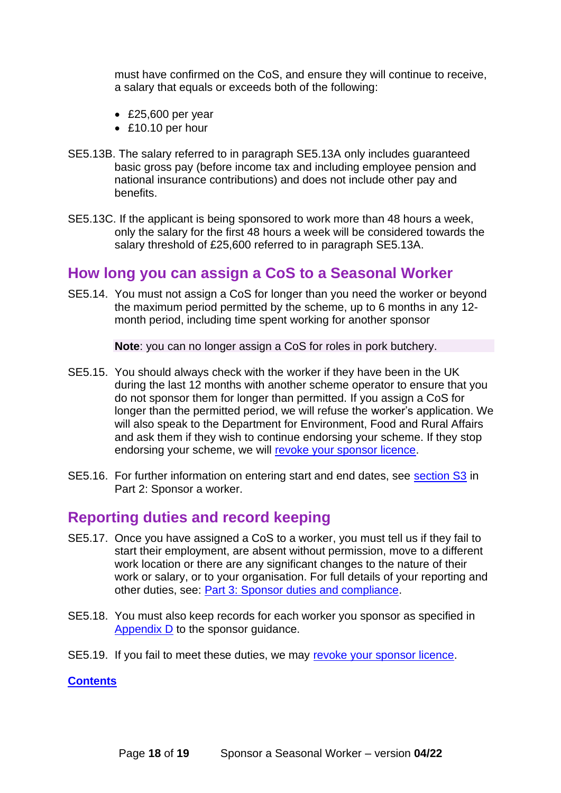must have confirmed on the CoS, and ensure they will continue to receive, a salary that equals or exceeds both of the following:

- £25,600 per year
- £10.10 per hour
- SE5.13B. The salary referred to in paragraph SE5.13A only includes guaranteed basic gross pay (before income tax and including employee pension and national insurance contributions) and does not include other pay and benefits.
- SE5.13C. If the applicant is being sponsored to work more than 48 hours a week, only the salary for the first 48 hours a week will be considered towards the salary threshold of £25,600 referred to in paragraph SE5.13A.

#### <span id="page-17-0"></span>**How long you can assign a CoS to a Seasonal Worker**

SE5.14. You must not assign a CoS for longer than you need the worker or beyond the maximum period permitted by the scheme, up to 6 months in any 12 month period, including time spent working for another sponsor

**Note**: you can no longer assign a CoS for roles in pork butchery.

- SE5.15. You should always check with the worker if they have been in the UK during the last 12 months with another scheme operator to ensure that you do not sponsor them for longer than permitted. If you assign a CoS for longer than the permitted period, we will refuse the worker's application. We will also speak to the Department for Environment, Food and Rural Affairs and ask them if they wish to continue endorsing your scheme. If they stop endorsing your scheme, we will [revoke your sponsor licence.](https://www.gov.uk/government/publications/workers-and-temporary-workers-guidance-for-sponsors-part-3-sponsor-duties-and-compliance/workers-and-temporary-workers-guidance-for-sponsors-part-3-sponsor-duties-and-compliance-accessible-version#C10)
- SE5.16. For further information on entering start and end dates, see [section S3](https://www.gov.uk/government/publications/workers-and-temporary-workers-guidance-for-sponsors-part-2-sponsor-a-worker/workers-and-temporary-workers-guidance-for-sponsors-part-2-sponsor-a-worker-general-information-accessible-version#start) in Part 2: Sponsor a worker.

#### <span id="page-17-1"></span>**Reporting duties and record keeping**

- SE5.17. Once you have assigned a CoS to a worker, you must tell us if they fail to start their employment, are absent without permission, move to a different work location or there are any significant changes to the nature of their work or salary, or to your organisation. For full details of your reporting and other duties, see: [Part 3: Sponsor duties and compliance.](https://www.gov.uk/government/publications/workers-and-temporary-workers-guidance-for-sponsors-part-3-sponsor-duties-and-compliance)
- SE5.18. You must also keep records for each worker you sponsor as specified in [Appendix D](https://www.gov.uk/government/publications/keep-records-for-sponsorship-appendix-d) to the sponsor guidance.
- SE5.19. If you fail to meet these duties, we may [revoke your sponsor licence.](https://www.gov.uk/government/publications/workers-and-temporary-workers-guidance-for-sponsors-part-3-sponsor-duties-and-compliance/workers-and-temporary-workers-guidance-for-sponsors-part-3-sponsor-duties-and-compliance-accessible-version#C10)